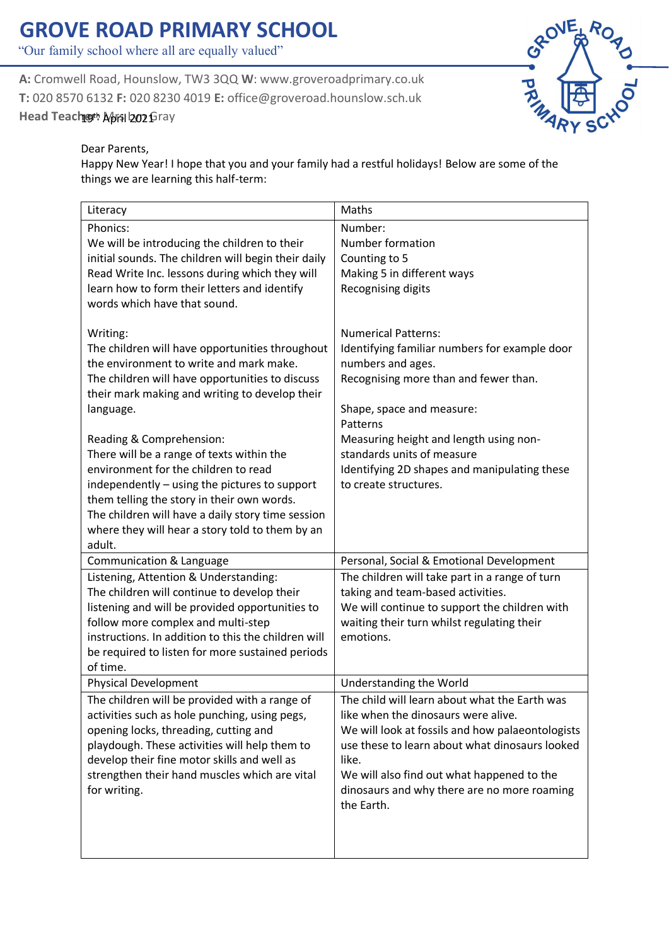## **GROVE ROAD PRIMARY SCHOOL**

"Our family school where all are equally valued"

**A:** Cromwell Road, Hounslow, TW3 3QQ **W**: www.groveroadprimary.co.uk **T:** 020 8570 6132 **F:** 020 8230 4019 **E:** office@groveroad.hounslow.sch.uk Head Teach**gt: April 2021** Gray



## Dear Parents,

Happy New Year! I hope that you and your family had a restful holidays! Below are some of the things we are learning this half-term:

| Literacy                                                                                                                                                                                                                                                                                                 | Maths                                                                                                                                                                                                                                                                                                          |
|----------------------------------------------------------------------------------------------------------------------------------------------------------------------------------------------------------------------------------------------------------------------------------------------------------|----------------------------------------------------------------------------------------------------------------------------------------------------------------------------------------------------------------------------------------------------------------------------------------------------------------|
| Phonics:<br>We will be introducing the children to their<br>initial sounds. The children will begin their daily<br>Read Write Inc. lessons during which they will<br>learn how to form their letters and identify<br>words which have that sound.                                                        | Number:<br>Number formation<br>Counting to 5<br>Making 5 in different ways<br>Recognising digits                                                                                                                                                                                                               |
| Writing:<br>The children will have opportunities throughout<br>the environment to write and mark make.<br>The children will have opportunities to discuss<br>their mark making and writing to develop their<br>language.<br>Reading & Comprehension:                                                     | <b>Numerical Patterns:</b><br>Identifying familiar numbers for example door<br>numbers and ages.<br>Recognising more than and fewer than.<br>Shape, space and measure:<br>Patterns<br>Measuring height and length using non-                                                                                   |
| There will be a range of texts within the<br>environment for the children to read<br>independently - using the pictures to support<br>them telling the story in their own words.<br>The children will have a daily story time session<br>where they will hear a story told to them by an<br>adult.       | standards units of measure<br>Identifying 2D shapes and manipulating these<br>to create structures.                                                                                                                                                                                                            |
| Communication & Language                                                                                                                                                                                                                                                                                 | Personal, Social & Emotional Development                                                                                                                                                                                                                                                                       |
| Listening, Attention & Understanding:<br>The children will continue to develop their<br>listening and will be provided opportunities to<br>follow more complex and multi-step<br>instructions. In addition to this the children will<br>be required to listen for more sustained periods<br>of time.     | The children will take part in a range of turn<br>taking and team-based activities.<br>We will continue to support the children with<br>waiting their turn whilst regulating their<br>emotions.                                                                                                                |
| <b>Physical Development</b>                                                                                                                                                                                                                                                                              | <b>Understanding the World</b>                                                                                                                                                                                                                                                                                 |
| The children will be provided with a range of<br>activities such as hole punching, using pegs,<br>opening locks, threading, cutting and<br>playdough. These activities will help them to<br>develop their fine motor skills and well as<br>strengthen their hand muscles which are vital<br>for writing. | The child will learn about what the Earth was<br>like when the dinosaurs were alive.<br>We will look at fossils and how palaeontologists<br>use these to learn about what dinosaurs looked<br>like.<br>We will also find out what happened to the<br>dinosaurs and why there are no more roaming<br>the Earth. |